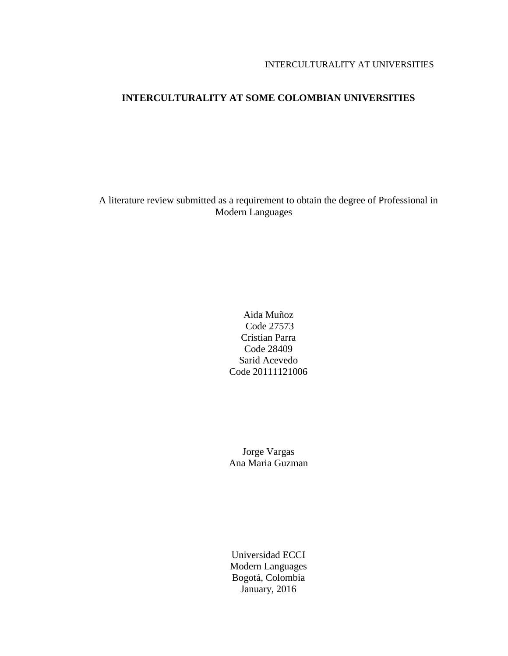# **INTERCULTURALITY AT SOME COLOMBIAN UNIVERSITIES**

A literature review submitted as a requirement to obtain the degree of Professional in Modern Languages

# Aida Muñoz Code 27573 Cristian Parra Code 28409 Sarid Acevedo Code 20111121006

Jorge Vargas Ana Maria Guzman

Universidad ECCI Modern Languages Bogotá, Colombia January, 2016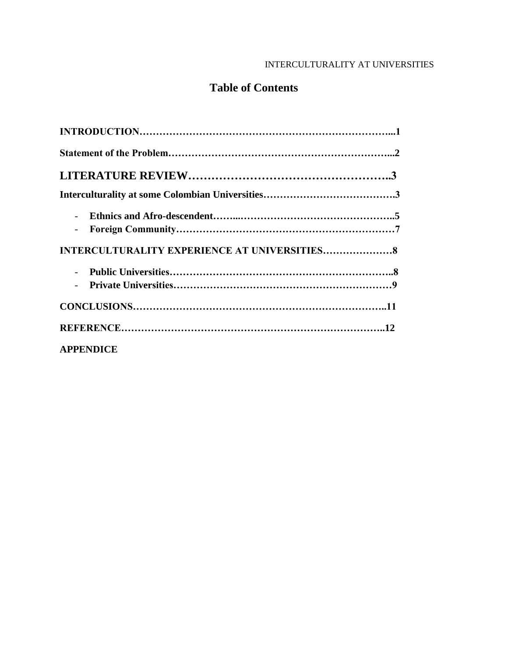# **Table of Contents**

| <b>APPENDICE</b> |  |
|------------------|--|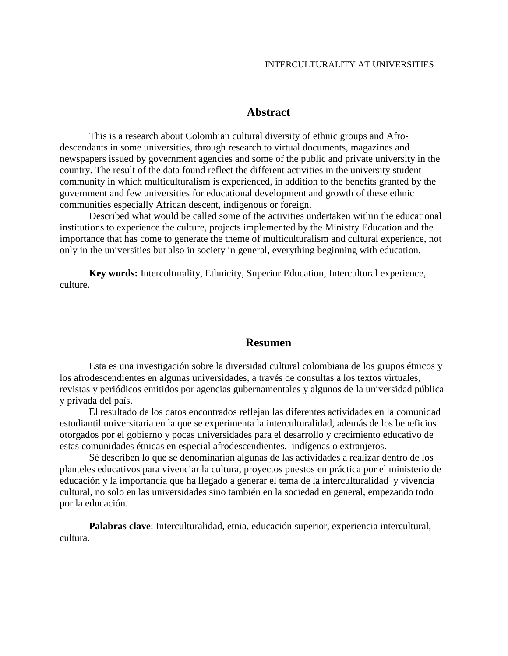### **Abstract**

This is a research about Colombian cultural diversity of ethnic groups and Afrodescendants in some universities, through research to virtual documents, magazines and newspapers issued by government agencies and some of the public and private university in the country. The result of the data found reflect the different activities in the university student community in which multiculturalism is experienced, in addition to the benefits granted by the government and few universities for educational development and growth of these ethnic communities especially African descent, indigenous or foreign.

Described what would be called some of the activities undertaken within the educational institutions to experience the culture, projects implemented by the Ministry Education and the importance that has come to generate the theme of multiculturalism and cultural experience, not only in the universities but also in society in general, everything beginning with education.

**Key words:** Interculturality, Ethnicity, Superior Education, Intercultural experience, culture.

# **Resumen**

Esta es una investigación sobre la diversidad cultural colombiana de los grupos étnicos y los afrodescendientes en algunas universidades, a través de consultas a los textos virtuales, revistas y periódicos emitidos por agencias gubernamentales y algunos de la universidad pública y privada del país.

El resultado de los datos encontrados reflejan las diferentes actividades en la comunidad estudiantil universitaria en la que se experimenta la interculturalidad, además de los beneficios otorgados por el gobierno y pocas universidades para el desarrollo y crecimiento educativo de estas comunidades étnicas en especial afrodescendientes, indígenas o extranjeros.

Sé describen lo que se denominarían algunas de las actividades a realizar dentro de los planteles educativos para vivenciar la cultura, proyectos puestos en práctica por el ministerio de educación y la importancia que ha llegado a generar el tema de la interculturalidad y vivencia cultural, no solo en las universidades sino también en la sociedad en general, empezando todo por la educación.

**Palabras clave**: Interculturalidad, etnia, educación superior, experiencia intercultural, cultura.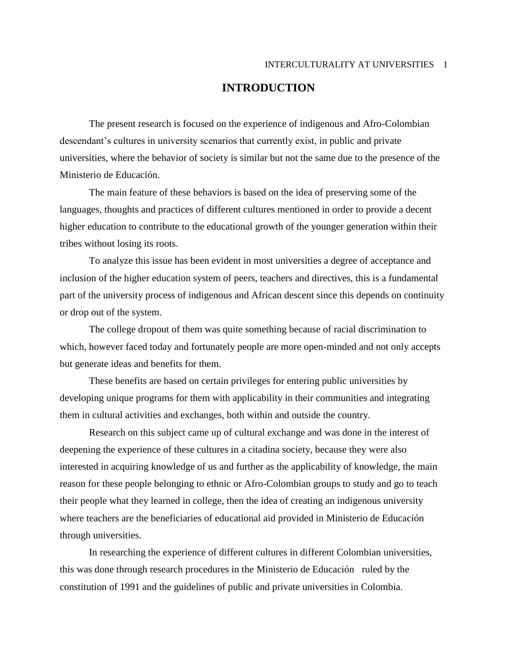# **INTRODUCTION**

The present research is focused on the experience of indigenous and Afro-Colombian descendant's cultures in university scenarios that currently exist, in public and private universities, where the behavior of society is similar but not the same due to the presence of the Ministerio de Educación.

The main feature of these behaviors is based on the idea of preserving some of the languages, thoughts and practices of different cultures mentioned in order to provide a decent higher education to contribute to the educational growth of the younger generation within their tribes without losing its roots.

To analyze this issue has been evident in most universities a degree of acceptance and inclusion of the higher education system of peers, teachers and directives, this is a fundamental part of the university process of indigenous and African descent since this depends on continuity or drop out of the system.

The college dropout of them was quite something because of racial discrimination to which, however faced today and fortunately people are more open-minded and not only accepts but generate ideas and benefits for them.

These benefits are based on certain privileges for entering public universities by developing unique programs for them with applicability in their communities and integrating them in cultural activities and exchanges, both within and outside the country.

Research on this subject came up of cultural exchange and was done in the interest of deepening the experience of these cultures in a citadina society, because they were also interested in acquiring knowledge of us and further as the applicability of knowledge, the main reason for these people belonging to ethnic or Afro-Colombian groups to study and go to teach their people what they learned in college, then the idea of creating an indigenous university where teachers are the beneficiaries of educational aid provided in Ministerio de Educación through universities.

In researching the experience of different cultures in different Colombian universities, this was done through research procedures in the Ministerio de Educación ruled by the constitution of 1991 and the guidelines of public and private universities in Colombia.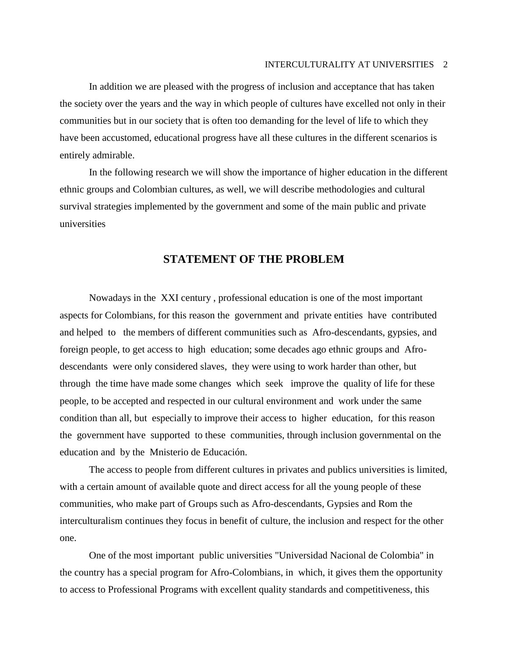In addition we are pleased with the progress of inclusion and acceptance that has taken the society over the years and the way in which people of cultures have excelled not only in their communities but in our society that is often too demanding for the level of life to which they have been accustomed, educational progress have all these cultures in the different scenarios is entirely admirable.

In the following research we will show the importance of higher education in the different ethnic groups and Colombian cultures, as well, we will describe methodologies and cultural survival strategies implemented by the government and some of the main public and private universities

# **STATEMENT OF THE PROBLEM**

Nowadays in the XXI century , professional education is one of the most important aspects for Colombians, for this reason the government and private entities have contributed and helped to the members of different communities such as Afro-descendants, gypsies, and foreign people, to get access to high education; some decades ago ethnic groups and Afrodescendants were only considered slaves, they were using to work harder than other, but through the time have made some changes which seek improve the quality of life for these people, to be accepted and respected in our cultural environment and work under the same condition than all, but especially to improve their access to higher education, for this reason the government have supported to these communities, through inclusion governmental on the education and by the Mnisterio de Educación.

The access to people from different cultures in privates and publics universities is limited, with a certain amount of available quote and direct access for all the young people of these communities, who make part of Groups such as Afro-descendants, Gypsies and Rom the interculturalism continues they focus in benefit of culture, the inclusion and respect for the other one.

One of the most important public universities "Universidad Nacional de Colombia" in the country has a special program for Afro-Colombians, in which, it gives them the opportunity to access to Professional Programs with excellent quality standards and competitiveness, this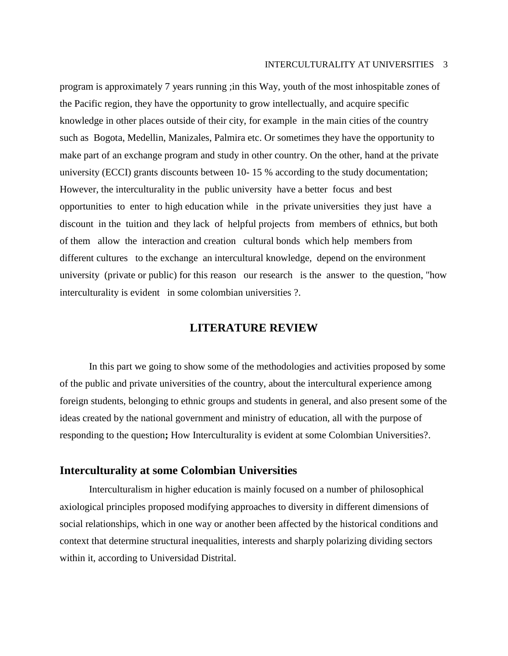program is approximately 7 years running ;in this Way, youth of the most inhospitable zones of the Pacific region, they have the opportunity to grow intellectually, and acquire specific knowledge in other places outside of their city, for example in the main cities of the country such as Bogota, Medellin, Manizales, Palmira etc. Or sometimes they have the opportunity to make part of an exchange program and study in other country. On the other, hand at the private university (ECCI) grants discounts between 10- 15 % according to the study documentation; However, the interculturality in the public university have a better focus and best opportunities to enter to high education while in the private universities they just have a discount in the tuition and they lack of helpful projects from members of ethnics, but both of them allow the interaction and creation cultural bonds which help members from different cultures to the exchange an intercultural knowledge, depend on the environment university (private or public) for this reason our research is the answer to the question, "how interculturality is evident in some colombian universities ?.

# **LITERATURE REVIEW**

In this part we going to show some of the methodologies and activities proposed by some of the public and private universities of the country, about the intercultural experience among foreign students, belonging to ethnic groups and students in general, and also present some of the ideas created by the national government and ministry of education, all with the purpose of responding to the question**;** How Interculturality is evident at some Colombian Universities?.

## **Interculturality at some Colombian Universities**

Interculturalism in higher education is mainly focused on a number of philosophical axiological principles proposed modifying approaches to diversity in different dimensions of social relationships, which in one way or another been affected by the historical conditions and context that determine structural inequalities, interests and sharply polarizing dividing sectors within it, according to Universidad Distrital.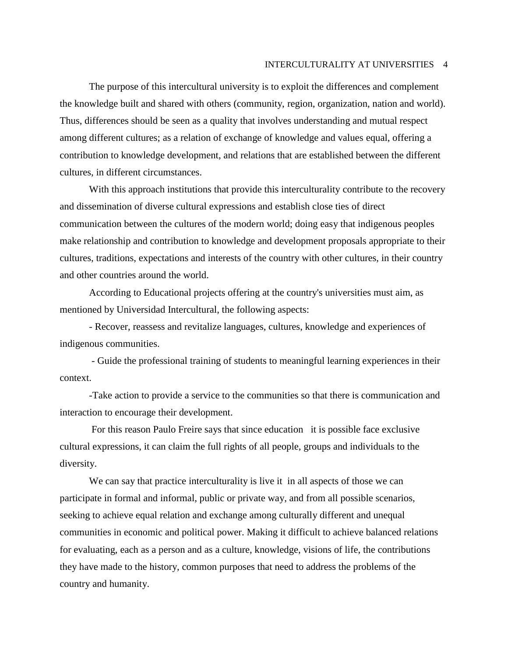The purpose of this intercultural university is to exploit the differences and complement the knowledge built and shared with others (community, region, organization, nation and world). Thus, differences should be seen as a quality that involves understanding and mutual respect among different cultures; as a relation of exchange of knowledge and values equal, offering a contribution to knowledge development, and relations that are established between the different cultures, in different circumstances.

With this approach institutions that provide this interculturality contribute to the recovery and dissemination of diverse cultural expressions and establish close ties of direct communication between the cultures of the modern world; doing easy that indigenous peoples make relationship and contribution to knowledge and development proposals appropriate to their cultures, traditions, expectations and interests of the country with other cultures, in their country and other countries around the world.

According to Educational projects offering at the country's universities must aim, as mentioned by Universidad Intercultural, the following aspects:

- Recover, reassess and revitalize languages, cultures, knowledge and experiences of indigenous communities.

- Guide the professional training of students to meaningful learning experiences in their context.

-Take action to provide a service to the communities so that there is communication and interaction to encourage their development.

For this reason Paulo Freire says that since education it is possible face exclusive cultural expressions, it can claim the full rights of all people, groups and individuals to the diversity.

We can say that practice interculturality is live it in all aspects of those we can participate in formal and informal, public or private way, and from all possible scenarios, seeking to achieve equal relation and exchange among culturally different and unequal communities in economic and political power. Making it difficult to achieve balanced relations for evaluating, each as a person and as a culture, knowledge, visions of life, the contributions they have made to the history, common purposes that need to address the problems of the country and humanity.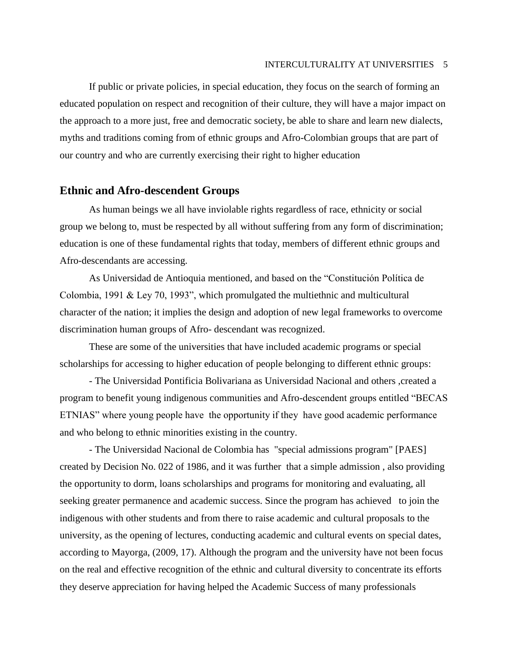If public or private policies, in special education, they focus on the search of forming an educated population on respect and recognition of their culture, they will have a major impact on the approach to a more just, free and democratic society, be able to share and learn new dialects, myths and traditions coming from of ethnic groups and Afro-Colombian groups that are part of our country and who are currently exercising their right to higher education

# **Ethnic and Afro-descendent Groups**

As human beings we all have inviolable rights regardless of race, ethnicity or social group we belong to, must be respected by all without suffering from any form of discrimination; education is one of these fundamental rights that today, members of different ethnic groups and Afro-descendants are accessing.

As Universidad de Antioquia mentioned, and based on the "Constitución Política de Colombia, 1991 & Ley 70, 1993", which promulgated the multiethnic and multicultural character of the nation; it implies the design and adoption of new legal frameworks to overcome discrimination human groups of Afro- descendant was recognized.

These are some of the universities that have included academic programs or special scholarships for accessing to higher education of people belonging to different ethnic groups:

- The Universidad Pontificia Bolivariana as Universidad Nacional and others ,created a program to benefit young indigenous communities and Afro-descendent groups entitled "BECAS ETNIAS" where young people have the opportunity if they have good academic performance and who belong to ethnic minorities existing in the country.

- The Universidad Nacional de Colombia has "special admissions program" [PAES] created by Decision No. 022 of 1986, and it was further that a simple admission , also providing the opportunity to dorm, loans scholarships and programs for monitoring and evaluating, all seeking greater permanence and academic success. Since the program has achieved to join the indigenous with other students and from there to raise academic and cultural proposals to the university, as the opening of lectures, conducting academic and cultural events on special dates, according to Mayorga, (2009, 17). Although the program and the university have not been focus on the real and effective recognition of the ethnic and cultural diversity to concentrate its efforts they deserve appreciation for having helped the Academic Success of many professionals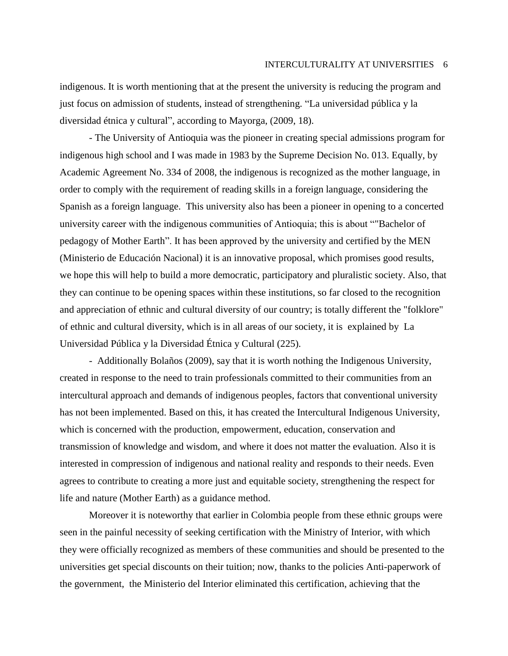indigenous. It is worth mentioning that at the present the university is reducing the program and just focus on admission of students, instead of strengthening. "La universidad pública y la diversidad étnica y cultural", according to Mayorga, (2009, 18).

- The University of Antioquia was the pioneer in creating special admissions program for indigenous high school and I was made in 1983 by the Supreme Decision No. 013. Equally, by Academic Agreement No. 334 of 2008, the indigenous is recognized as the mother language, in order to comply with the requirement of reading skills in a foreign language, considering the Spanish as a foreign language. This university also has been a pioneer in opening to a concerted university career with the indigenous communities of Antioquia; this is about ""Bachelor of pedagogy of Mother Earth". It has been approved by the university and certified by the MEN (Ministerio de Educación Nacional) it is an innovative proposal, which promises good results, we hope this will help to build a more democratic, participatory and pluralistic society. Also, that they can continue to be opening spaces within these institutions, so far closed to the recognition and appreciation of ethnic and cultural diversity of our country; is totally different the "folklore" of ethnic and cultural diversity, which is in all areas of our society, it is explained by La Universidad Pública y la Diversidad Étnica y Cultural (225).

- Additionally Bolaños (2009), say that it is worth nothing the Indigenous University, created in response to the need to train professionals committed to their communities from an intercultural approach and demands of indigenous peoples, factors that conventional university has not been implemented. Based on this, it has created the Intercultural Indigenous University, which is concerned with the production, empowerment, education, conservation and transmission of knowledge and wisdom, and where it does not matter the evaluation. Also it is interested in compression of indigenous and national reality and responds to their needs. Even agrees to contribute to creating a more just and equitable society, strengthening the respect for life and nature (Mother Earth) as a guidance method.

Moreover it is noteworthy that earlier in Colombia people from these ethnic groups were seen in the painful necessity of seeking certification with the Ministry of Interior, with which they were officially recognized as members of these communities and should be presented to the universities get special discounts on their tuition; now, thanks to the policies Anti-paperwork of the government, the Ministerio del Interior eliminated this certification, achieving that the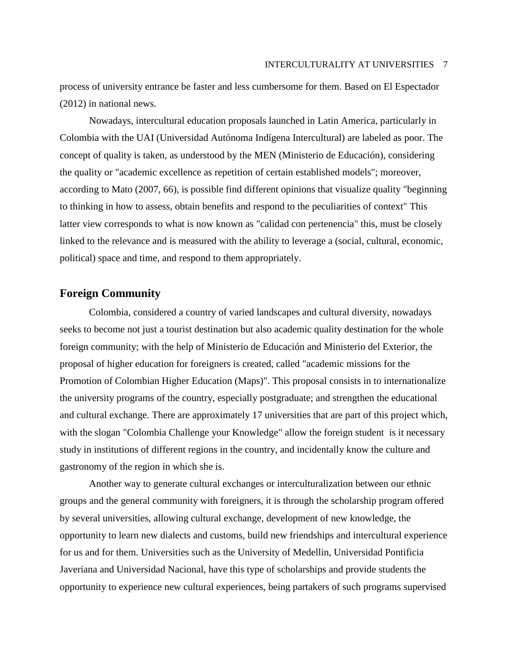process of university entrance be faster and less cumbersome for them. Based on El Espectador (2012) in national news.

Nowadays, intercultural education proposals launched in Latin America, particularly in Colombia with the UAI (Universidad Autónoma Indígena Intercultural) are labeled as poor. The concept of quality is taken, as understood by the MEN (Ministerio de Educación), considering the quality or "academic excellence as repetition of certain established models"; moreover, according to Mato (2007, 66), is possible find different opinions that visualize quality "beginning to thinking in how to assess, obtain benefits and respond to the peculiarities of context" This latter view corresponds to what is now known as "calidad con pertenencia" this, must be closely linked to the relevance and is measured with the ability to leverage a (social, cultural, economic, political) space and time, and respond to them appropriately.

# **Foreign Community**

Colombia, considered a country of varied landscapes and cultural diversity, nowadays seeks to become not just a tourist destination but also academic quality destination for the whole foreign community; with the help of Ministerio de Educación and Ministerio del Exterior, the proposal of higher education for foreigners is created, called "academic missions for the Promotion of Colombian Higher Education (Maps)". This proposal consists in to internationalize the university programs of the country, especially postgraduate; and strengthen the educational and cultural exchange. There are approximately 17 universities that are part of this project which, with the slogan "Colombia Challenge your Knowledge" allow the foreign student is it necessary study in institutions of different regions in the country, and incidentally know the culture and gastronomy of the region in which she is.

Another way to generate cultural exchanges or interculturalization between our ethnic groups and the general community with foreigners, it is through the scholarship program offered by several universities, allowing cultural exchange, development of new knowledge, the opportunity to learn new dialects and customs, build new friendships and intercultural experience for us and for them. Universities such as the University of Medellin, Universidad Pontificia Javeriana and Universidad Nacional, have this type of scholarships and provide students the opportunity to experience new cultural experiences, being partakers of such programs supervised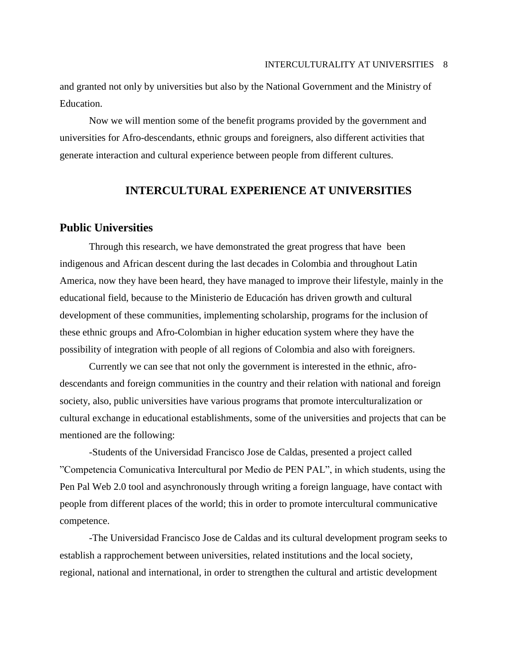and granted not only by universities but also by the National Government and the Ministry of Education.

Now we will mention some of the benefit programs provided by the government and universities for Afro-descendants, ethnic groups and foreigners, also different activities that generate interaction and cultural experience between people from different cultures.

# **INTERCULTURAL EXPERIENCE AT UNIVERSITIES**

# **Public Universities**

Through this research, we have demonstrated the great progress that have been indigenous and African descent during the last decades in Colombia and throughout Latin America, now they have been heard, they have managed to improve their lifestyle, mainly in the educational field, because to the Ministerio de Educación has driven growth and cultural development of these communities, implementing scholarship, programs for the inclusion of these ethnic groups and Afro-Colombian in higher education system where they have the possibility of integration with people of all regions of Colombia and also with foreigners.

Currently we can see that not only the government is interested in the ethnic, afrodescendants and foreign communities in the country and their relation with national and foreign society, also, public universities have various programs that promote interculturalization or cultural exchange in educational establishments, some of the universities and projects that can be mentioned are the following:

-Students of the Universidad Francisco Jose de Caldas, presented a project called "Competencia Comunicativa Intercultural por Medio de PEN PAL", in which students, using the Pen Pal Web 2.0 tool and asynchronously through writing a foreign language, have contact with people from different places of the world; this in order to promote intercultural communicative competence.

-The Universidad Francisco Jose de Caldas and its cultural development program seeks to establish a rapprochement between universities, related institutions and the local society, regional, national and international, in order to strengthen the cultural and artistic development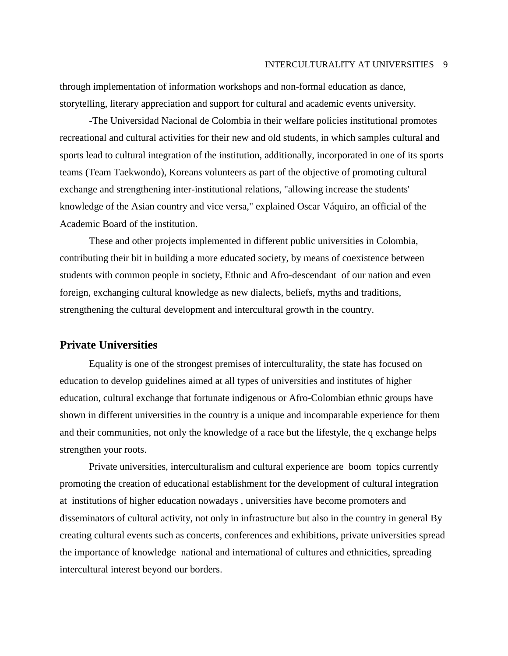through implementation of information workshops and non-formal education as dance, storytelling, literary appreciation and support for cultural and academic events university.

-The Universidad Nacional de Colombia in their welfare policies institutional promotes recreational and cultural activities for their new and old students, in which samples cultural and sports lead to cultural integration of the institution, additionally, incorporated in one of its sports teams (Team Taekwondo), Koreans volunteers as part of the objective of promoting cultural exchange and strengthening inter-institutional relations, "allowing increase the students' knowledge of the Asian country and vice versa," explained Oscar Váquiro, an official of the Academic Board of the institution.

These and other projects implemented in different public universities in Colombia, contributing their bit in building a more educated society, by means of coexistence between students with common people in society, Ethnic and Afro-descendant of our nation and even foreign, exchanging cultural knowledge as new dialects, beliefs, myths and traditions, strengthening the cultural development and intercultural growth in the country.

# **Private Universities**

Equality is one of the strongest premises of interculturality, the state has focused on education to develop guidelines aimed at all types of universities and institutes of higher education, cultural exchange that fortunate indigenous or Afro-Colombian ethnic groups have shown in different universities in the country is a unique and incomparable experience for them and their communities, not only the knowledge of a race but the lifestyle, the q exchange helps strengthen your roots.

Private universities, interculturalism and cultural experience are boom topics currently promoting the creation of educational establishment for the development of cultural integration at institutions of higher education nowadays , universities have become promoters and disseminators of cultural activity, not only in infrastructure but also in the country in general By creating cultural events such as concerts, conferences and exhibitions, private universities spread the importance of knowledge national and international of cultures and ethnicities, spreading intercultural interest beyond our borders.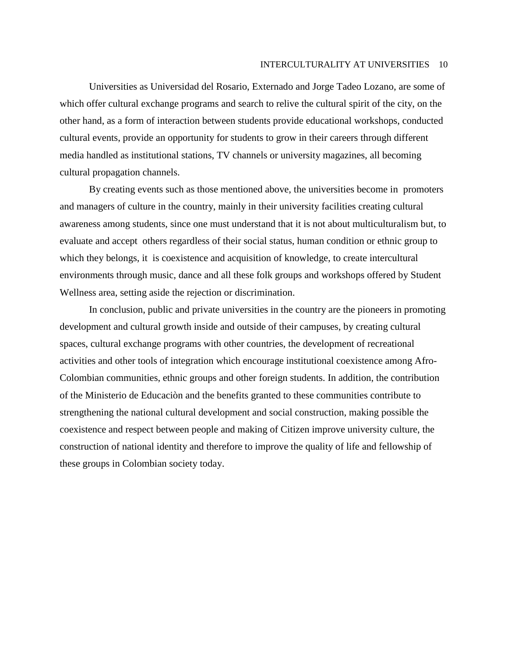Universities as Universidad del Rosario, Externado and Jorge Tadeo Lozano, are some of which offer cultural exchange programs and search to relive the cultural spirit of the city, on the other hand, as a form of interaction between students provide educational workshops, conducted cultural events, provide an opportunity for students to grow in their careers through different media handled as institutional stations, TV channels or university magazines, all becoming cultural propagation channels.

By creating events such as those mentioned above, the universities become in promoters and managers of culture in the country, mainly in their university facilities creating cultural awareness among students, since one must understand that it is not about multiculturalism but, to evaluate and accept others regardless of their social status, human condition or ethnic group to which they belongs, it is coexistence and acquisition of knowledge, to create intercultural environments through music, dance and all these folk groups and workshops offered by Student Wellness area, setting aside the rejection or discrimination.

In conclusion, public and private universities in the country are the pioneers in promoting development and cultural growth inside and outside of their campuses, by creating cultural spaces, cultural exchange programs with other countries, the development of recreational activities and other tools of integration which encourage institutional coexistence among Afro-Colombian communities, ethnic groups and other foreign students. In addition, the contribution of the Ministerio de Educaciòn and the benefits granted to these communities contribute to strengthening the national cultural development and social construction, making possible the coexistence and respect between people and making of Citizen improve university culture, the construction of national identity and therefore to improve the quality of life and fellowship of these groups in Colombian society today.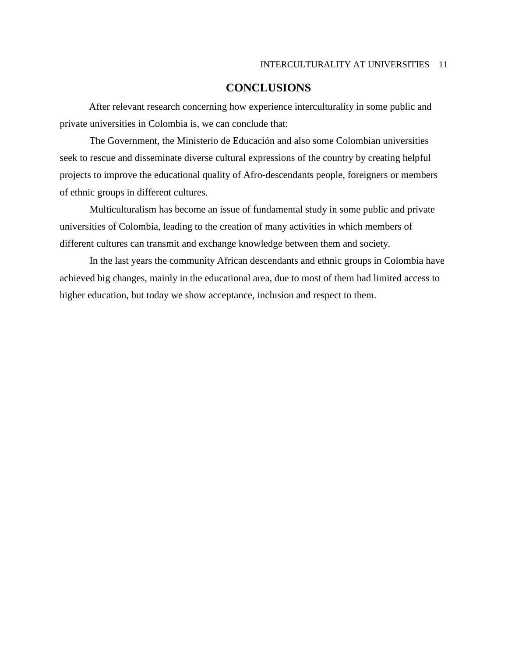# **CONCLUSIONS**

After relevant research concerning how experience interculturality in some public and private universities in Colombia is, we can conclude that:

The Government, the Ministerio de Educación and also some Colombian universities seek to rescue and disseminate diverse cultural expressions of the country by creating helpful projects to improve the educational quality of Afro-descendants people, foreigners or members of ethnic groups in different cultures.

Multiculturalism has become an issue of fundamental study in some public and private universities of Colombia, leading to the creation of many activities in which members of different cultures can transmit and exchange knowledge between them and society.

In the last years the community African descendants and ethnic groups in Colombia have achieved big changes, mainly in the educational area, due to most of them had limited access to higher education, but today we show acceptance, inclusion and respect to them.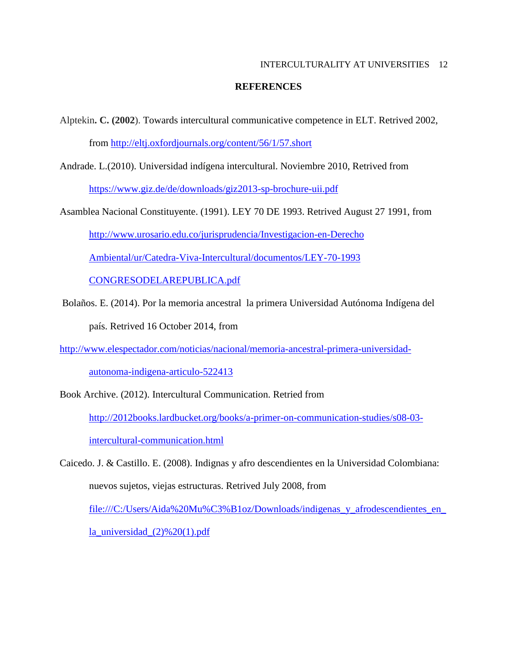### **REFERENCES**

- Alptekin**. C. (2002**). Towards intercultural communicative competence in ELT. Retrived 2002, from <http://eltj.oxfordjournals.org/content/56/1/57.short>
- Andrade. L.(2010). Universidad indígena intercultural. Noviembre 2010, Retrived from <https://www.giz.de/de/downloads/giz2013-sp-brochure-uii.pdf>
- Asamblea Nacional Constituyente. (1991). LEY 70 DE 1993. Retrived August 27 1991, from [http://www.urosario.edu.co/jurisprudencia/Investigacion-en-Derecho](http://www.urosario.edu.co/jurisprudencia/Investigacion-en-Derecho%20Ambiental/ur/Catedra-Viva-Intercultural/documentos/LEY-70-1993%20CONGRESODELAREPUBLICA.pdf)  [Ambiental/ur/Catedra-Viva-Intercultural/documentos/LEY-70-1993](http://www.urosario.edu.co/jurisprudencia/Investigacion-en-Derecho%20Ambiental/ur/Catedra-Viva-Intercultural/documentos/LEY-70-1993%20CONGRESODELAREPUBLICA.pdf)  [CONGRESODELAREPUBLICA.pdf](http://www.urosario.edu.co/jurisprudencia/Investigacion-en-Derecho%20Ambiental/ur/Catedra-Viva-Intercultural/documentos/LEY-70-1993%20CONGRESODELAREPUBLICA.pdf)
- Bolaños. E. (2014). Por la memoria ancestral la primera Universidad Autónoma Indígena del país. Retrived 16 October 2014, from
- [http://www.elespectador.com/noticias/nacional/memoria-ancestral-primera-universidad-](http://www.elespectador.com/noticias/nacional/memoria-ancestral-primera-universidad-autonoma-indigena-articulo-522413)

[autonoma-indigena-articulo-522413](http://www.elespectador.com/noticias/nacional/memoria-ancestral-primera-universidad-autonoma-indigena-articulo-522413)

Book Archive. (2012). Intercultural Communication. Retried from [http://2012books.lardbucket.org/books/a-primer-on-communication-studies/s08-03](http://2012books.lardbucket.org/books/a-primer-on-communication-studies/s08-03-intercultural-communication.html) [intercultural-communication.html](http://2012books.lardbucket.org/books/a-primer-on-communication-studies/s08-03-intercultural-communication.html)

Caicedo. J. & Castillo. E. (2008). Indignas y afro descendientes en la Universidad Colombiana: nuevos sujetos, viejas estructuras. Retrived July 2008, from file:///C:/Users/Aida%20Mu%C3%B1oz/Downloads/indigenas\_y\_afrodescendientes\_en\_

la\_universidad\_ $(2)$ %20(1).pdf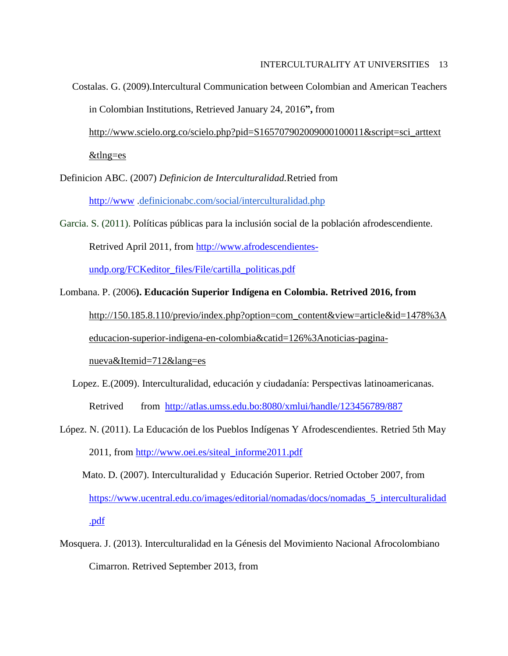Costalas. G. (2009).Intercultural Communication between Colombian and American Teachers in Colombian Institutions, Retrieved January 24, 2016**",** from

[http://www.scielo.org.co/scielo.php?pid=S165707902009000100011&script=sci\\_arttext](http://www.scielo.org.co/scielo.php?pid=S165707902009000100011&script=sci_arttext&tlng=es)

[&tlng=es](http://www.scielo.org.co/scielo.php?pid=S165707902009000100011&script=sci_arttext&tlng=es)

Definicion ABC. (2007) *Definicion de Interculturalidad.*Retried from

[http://www](http://www/) [.definicionabc.com/social/interculturalidad.php](http://definicionabc.com/social/interculturalidad.php)

Garcia. S. (2011). Políticas públicas para la inclusión social de la población afrodescendiente.

Retrived April 2011, from [http://www.afrodescendientes-](http://www.afrodescendientes-undp.org/FCKeditor_files/File/cartilla_politicas.pdf)

[undp.org/FCKeditor\\_files/File/cartilla\\_politicas.pdf](http://www.afrodescendientes-undp.org/FCKeditor_files/File/cartilla_politicas.pdf)

Lombana. P. (2006**). Educación Superior Indígena en Colombia. Retrived 2016, from** 

[http://150.185.8.110/previo/index.php?option=com\\_content&view=article&id=1478%3A](http://150.185.8.110/previo/index.php?option=com_content&view=article&id=1478%3Aeducacion-superior-indigena-en-colombia&catid=126%3Anoticias-pagina-nueva&Itemid=712&lang=es)

[educacion-superior-indigena-en-colombia&catid=126%3Anoticias-pagina-](http://150.185.8.110/previo/index.php?option=com_content&view=article&id=1478%3Aeducacion-superior-indigena-en-colombia&catid=126%3Anoticias-pagina-nueva&Itemid=712&lang=es)

[nueva&Itemid=712&lang=es](http://150.185.8.110/previo/index.php?option=com_content&view=article&id=1478%3Aeducacion-superior-indigena-en-colombia&catid=126%3Anoticias-pagina-nueva&Itemid=712&lang=es)

- Lopez. E.(2009). Interculturalidad, educación y ciudadanía: Perspectivas latinoamericanas. Retrived from <http://atlas.umss.edu.bo:8080/xmlui/handle/123456789/887>
- López. N. (2011). La Educación de los Pueblos Indígenas Y Afrodescendientes. Retried 5th May 2011, from [http://www.oei.es/siteal\\_informe2011.pdf](http://www.oei.es/siteal_informe2011.pdf)
	- Mato. D. (2007). Interculturalidad y Educación Superior. Retried October 2007, from [https://www.ucentral.edu.co/images/editorial/nomadas/docs/nomadas\\_5\\_interculturalidad](https://www.ucentral.edu.co/images/editorial/nomadas/docs/nomadas_5_interculturalidad.pdf) [.pdf](https://www.ucentral.edu.co/images/editorial/nomadas/docs/nomadas_5_interculturalidad.pdf)
- Mosquera. J. (2013). Interculturalidad en la Génesis del Movimiento Nacional Afrocolombiano Cimarron. Retrived September 2013, from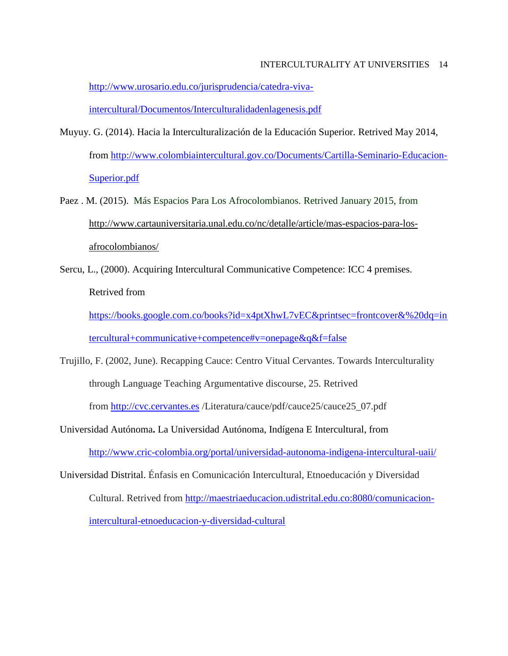[http://www.urosario.edu.co/jurisprudencia/catedra-viva](http://www.urosario.edu.co/jurisprudencia/catedra-viva-intercultural/Documentos/Interculturalidadenlagenesis.pdf)[intercultural/Documentos/Interculturalidadenlagenesis.pdf](http://www.urosario.edu.co/jurisprudencia/catedra-viva-intercultural/Documentos/Interculturalidadenlagenesis.pdf)

- Muyuy. G. (2014). Hacia la Interculturalización de la Educación Superior. Retrived May 2014, from [http://www.colombiaintercultural.gov.co/Documents/Cartilla-Seminario-Educacion-](http://www.colombiaintercultural.gov.co/Documents/Cartilla-Seminario-Educacion-Superior.pdf)[Superior.pdf](http://www.colombiaintercultural.gov.co/Documents/Cartilla-Seminario-Educacion-Superior.pdf)
- Paez . M. (2015). Más Espacios Para Los Afrocolombianos. Retrived January 2015, from [http://www.cartauniversitaria.unal.edu.co/nc/detalle/article/mas-espacios-para-los](http://www.cartauniversitaria.unal.edu.co/nc/detalle/article/mas-espacios-para-los-afrocolombianos/)[afrocolombianos/](http://www.cartauniversitaria.unal.edu.co/nc/detalle/article/mas-espacios-para-los-afrocolombianos/)
- Sercu, L., (2000). Acquiring Intercultural Communicative Competence: ICC 4 premises. Retrived from

[https://books.google.com.co/books?id=x4ptXhwL7vEC&printsec=frontcover&%20dq=in](https://books.google.com.co/books?id=x4ptXhwL7vEC&printsec=frontcover&%20dq=intercultural+communicative+competence#v=onepage&q&f=false) [tercultural+communicative+competence#v=onepage&q&f=false](https://books.google.com.co/books?id=x4ptXhwL7vEC&printsec=frontcover&%20dq=intercultural+communicative+competence#v=onepage&q&f=false)

Trujillo, F. (2002, June). Recapping Cauce: Centro Vitual Cervantes. Towards Interculturality through Language Teaching Argumentative discourse*,* 25. Retrived from [http://cvc.cervantes.es](http://cvc.cervantes.es/) /Literatura/cauce/pdf/cauce25/cauce25\_07.pdf

Universidad Autónoma**.** La Universidad Autónoma, Indígena E Intercultural, from <http://www.cric-colombia.org/portal/universidad-autonoma-indigena-intercultural-uaii/>

Universidad Distrital. Énfasis en Comunicación Intercultural, Etnoeducación y Diversidad Cultural. Retrived from [http://maestriaeducacion.udistrital.edu.co:8080/comunicacion](http://maestriaeducacion.udistrital.edu.co:8080/comunicacion-intercultural-etnoeducacion-y-diversidad-cultural)[intercultural-etnoeducacion-y-diversidad-cultural](http://maestriaeducacion.udistrital.edu.co:8080/comunicacion-intercultural-etnoeducacion-y-diversidad-cultural)